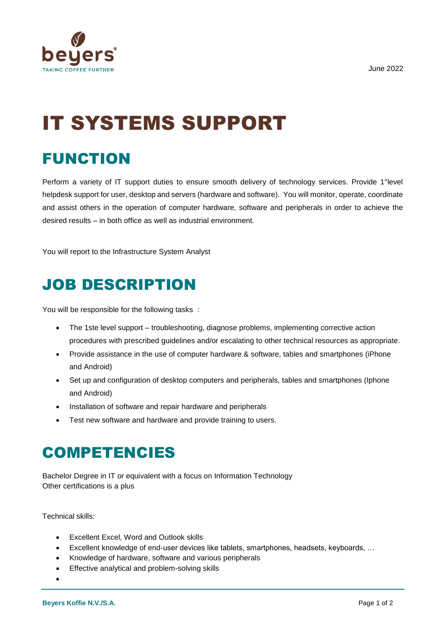

# IT SYSTEMS SUPPORT

## FUNCTION

Perform a variety of IT support duties to ensure smooth delivery of technology services. Provide 1°level helpdesk support for user, desktop and servers (hardware and software). You will monitor, operate, coordinate and assist others in the operation of computer hardware, software and peripherals in order to achieve the desired results – in both office as well as industrial environment.

You will report to the Infrastructure System Analyst

## JOB DESCRIPTION

You will be responsible for the following tasks :

- The 1ste level support troubleshooting, diagnose problems, implementing corrective action procedures with prescribed guidelines and/or escalating to other technical resources as appropriate.
- Provide assistance in the use of computer hardware & software, tables and smartphones (iPhone and Android)
- Set up and configuration of desktop computers and peripherals, tables and smartphones (Iphone and Android)
- Installation of software and repair hardware and peripherals
- Test new software and hardware and provide training to users.

### COMPETENCIES

Bachelor Degree in IT or equivalent with a focus on Information Technology Other certifications is a plus

Technical skills:

- Excellent Excel, Word and Outlook skills
- Excellent knowledge of end-user devices like tablets, smartphones, headsets, keyboards, …
- Knowledge of hardware, software and various peripherals
- Effective analytical and problem-solving skills
- •